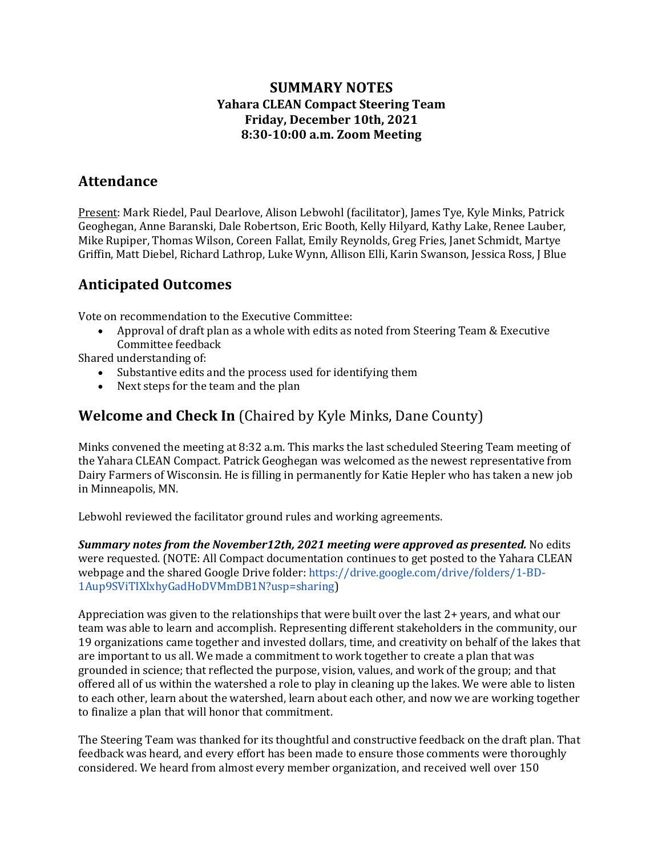### **SUMMARY NOTES Yahara CLEAN Compact Steering Team Friday, December 10th, 2021 8:30-10:00 a.m. Zoom Meeting**

### **Attendance**

Present: Mark Riedel, Paul Dearlove, Alison Lebwohl (facilitator), James Tye, Kyle Minks, Patrick Geoghegan, Anne Baranski, Dale Robertson, Eric Booth, Kelly Hilyard, Kathy Lake, Renee Lauber, Mike Rupiper, Thomas Wilson, Coreen Fallat, Emily Reynolds, Greg Fries, Janet Schmidt, Martye Griffin, Matt Diebel, Richard Lathrop, Luke Wynn, Allison Elli, Karin Swanson, Jessica Ross, J Blue

## **Anticipated Outcomes**

Vote on recommendation to the Executive Committee:

Approval of draft plan as a whole with edits as noted from Steering Team & Executive Committee feedback

Shared understanding of:

- Substantive edits and the process used for identifying them
- Next steps for the team and the plan

## **Welcome and Check In** (Chaired by Kyle Minks, Dane County)

Minks convened the meeting at 8:32 a.m. This marks the last scheduled Steering Team meeting of the Yahara CLEAN Compact. Patrick Geoghegan was welcomed as the newest representative from Dairy Farmers of Wisconsin. He is filling in permanently for Katie Hepler who has taken a new job in Minneapolis, MN.

Lebwohl reviewed the facilitator ground rules and working agreements.

**Summary notes from the November12th, 2021 meeting were approved as presented.** No edits were requested. (NOTE: All Compact documentation continues to get posted to the Yahara CLEAN webpage and the shared Google Drive folder: https://drive.google.com/drive/folders/1-BD-1Aup9SViTIXlxhyGadHoDVMmDB1N?usp=sharing)

Appreciation was given to the relationships that were built over the last  $2+$  years, and what our team was able to learn and accomplish. Representing different stakeholders in the community, our 19 organizations came together and invested dollars, time, and creativity on behalf of the lakes that are important to us all. We made a commitment to work together to create a plan that was grounded in science; that reflected the purpose, vision, values, and work of the group; and that offered all of us within the watershed a role to play in cleaning up the lakes. We were able to listen to each other, learn about the watershed, learn about each other, and now we are working together to finalize a plan that will honor that commitment.

The Steering Team was thanked for its thoughtful and constructive feedback on the draft plan. That feedback was heard, and every effort has been made to ensure those comments were thoroughly considered. We heard from almost every member organization, and received well over 150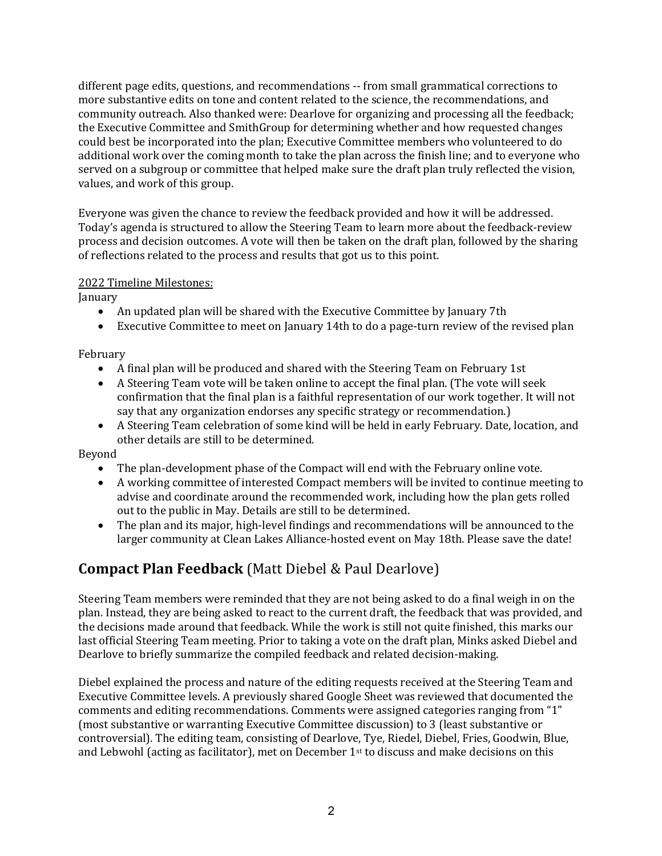different page edits, questions, and recommendations -- from small grammatical corrections to more substantive edits on tone and content related to the science, the recommendations, and community outreach. Also thanked were: Dearlove for organizing and processing all the feedback; the Executive Committee and SmithGroup for determining whether and how requested changes could best be incorporated into the plan; Executive Committee members who volunteered to do additional work over the coming month to take the plan across the finish line; and to everyone who served on a subgroup or committee that helped make sure the draft plan truly reflected the vision, values, and work of this group.

Everyone was given the chance to review the feedback provided and how it will be addressed. Today's agenda is structured to allow the Steering Team to learn more about the feedback-review process and decision outcomes. A vote will then be taken on the draft plan, followed by the sharing of reflections related to the process and results that got us to this point.

#### 2022 Timeline Milestones:

January

- An updated plan will be shared with the Executive Committee by January 7th
- Executive Committee to meet on January 14th to do a page-turn review of the revised plan

### February

- A final plan will be produced and shared with the Steering Team on February 1st
- A Steering Team vote will be taken online to accept the final plan. (The vote will seek confirmation that the final plan is a faithful representation of our work together. It will not say that any organization endorses any specific strategy or recommendation.)
- A Steering Team celebration of some kind will be held in early February. Date, location, and other details are still to be determined.

Beyond

- The plan-development phase of the Compact will end with the February online vote.
- A working committee of interested Compact members will be invited to continue meeting to advise and coordinate around the recommended work, including how the plan gets rolled out to the public in May. Details are still to be determined.
- The plan and its major, high-level findings and recommendations will be announced to the larger community at Clean Lakes Alliance-hosted event on May 18th. Please save the date!

# **Compact Plan Feedback** (Matt Diebel & Paul Dearlove)

Steering Team members were reminded that they are not being asked to do a final weigh in on the plan. Instead, they are being asked to react to the current draft, the feedback that was provided, and the decisions made around that feedback. While the work is still not quite finished, this marks our last official Steering Team meeting. Prior to taking a vote on the draft plan, Minks asked Diebel and Dearlove to briefly summarize the compiled feedback and related decision-making.

Diebel explained the process and nature of the editing requests received at the Steering Team and Executive Committee levels. A previously shared Google Sheet was reviewed that documented the comments and editing recommendations. Comments were assigned categories ranging from "1" (most substantive or warranting Executive Committee discussion) to 3 (least substantive or controversial). The editing team, consisting of Dearlove, Tye, Riedel, Diebel, Fries, Goodwin, Blue, and Lebwohl (acting as facilitator), met on December  $1<sup>st</sup>$  to discuss and make decisions on this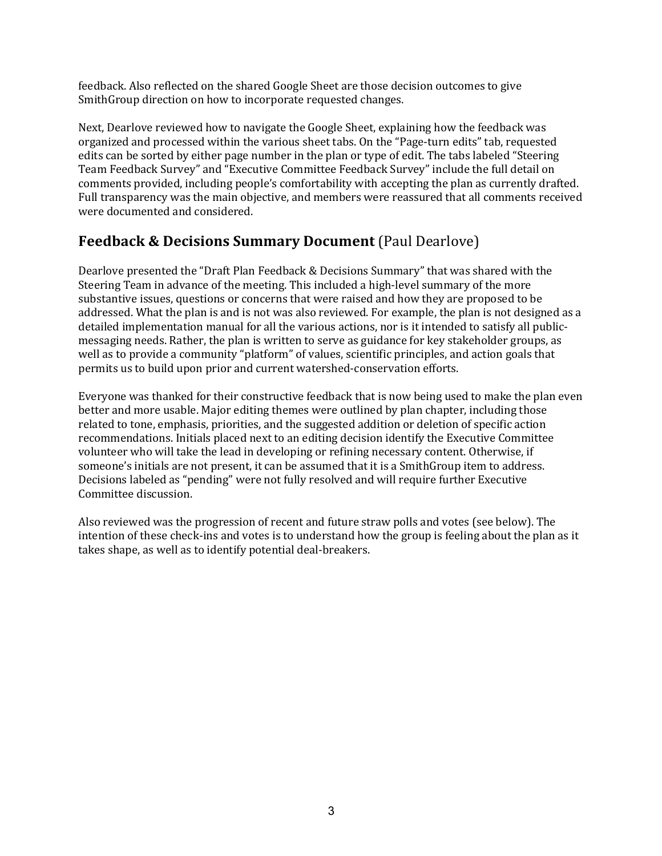feedback. Also reflected on the shared Google Sheet are those decision outcomes to give SmithGroup direction on how to incorporate requested changes.

Next, Dearlove reviewed how to navigate the Google Sheet, explaining how the feedback was organized and processed within the various sheet tabs. On the "Page-turn edits" tab, requested edits can be sorted by either page number in the plan or type of edit. The tabs labeled "Steering Team Feedback Survey" and "Executive Committee Feedback Survey" include the full detail on comments provided, including people's comfortability with accepting the plan as currently drafted. Full transparency was the main objective, and members were reassured that all comments received were documented and considered.

## **Feedback & Decisions Summary Document** (Paul Dearlove)

Dearlove presented the "Draft Plan Feedback & Decisions Summary" that was shared with the Steering Team in advance of the meeting. This included a high-level summary of the more substantive issues, questions or concerns that were raised and how they are proposed to be addressed. What the plan is and is not was also reviewed. For example, the plan is not designed as a detailed implementation manual for all the various actions, nor is it intended to satisfy all publicmessaging needs. Rather, the plan is written to serve as guidance for key stakeholder groups, as well as to provide a community "platform" of values, scientific principles, and action goals that permits us to build upon prior and current watershed-conservation efforts.

Everyone was thanked for their constructive feedback that is now being used to make the plan even better and more usable. Major editing themes were outlined by plan chapter, including those related to tone, emphasis, priorities, and the suggested addition or deletion of specific action recommendations. Initials placed next to an editing decision identify the Executive Committee volunteer who will take the lead in developing or refining necessary content. Otherwise, if someone's initials are not present, it can be assumed that it is a SmithGroup item to address. Decisions labeled as "pending" were not fully resolved and will require further Executive Committee discussion.

Also reviewed was the progression of recent and future straw polls and votes (see below). The intention of these check-ins and votes is to understand how the group is feeling about the plan as it takes shape, as well as to identify potential deal-breakers.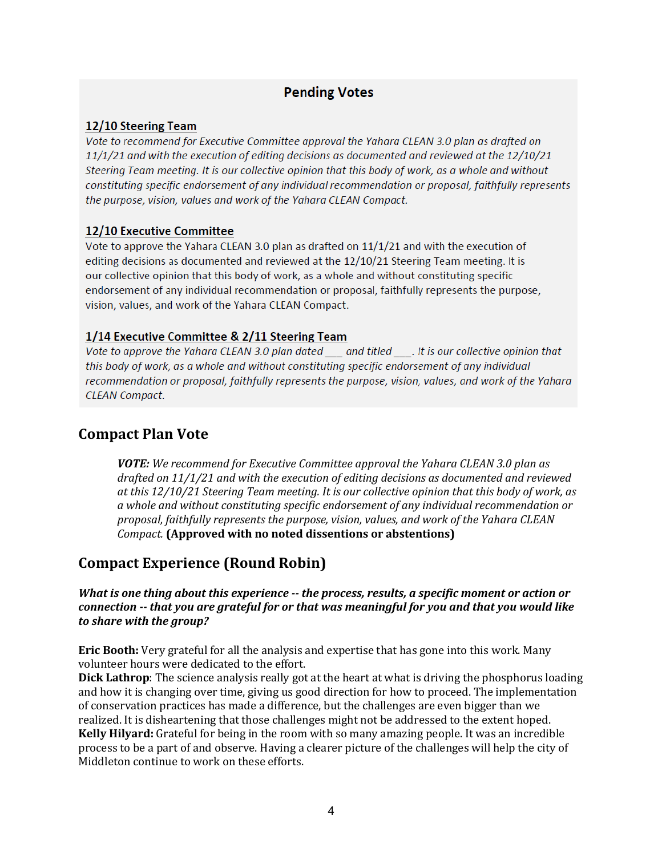### **Pending Votes**

### 12/10 Steering Team

Vote to recommend for Executive Committee approval the Yahara CLEAN 3.0 plan as drafted on  $11/1/21$  and with the execution of editing decisions as documented and reviewed at the  $12/10/21$ Steering Team meeting. It is our collective opinion that this body of work, as a whole and without constituting specific endorsement of any individual recommendation or proposal, faithfully represents the purpose, vision, values and work of the Yahara CLEAN Compact.

### 12/10 Executive Committee

Vote to approve the Yahara CLEAN 3.0 plan as drafted on 11/1/21 and with the execution of editing decisions as documented and reviewed at the 12/10/21 Steering Team meeting. It is our collective opinion that this body of work, as a whole and without constituting specific endorsement of any individual recommendation or proposal, faithfully represents the purpose, vision, values, and work of the Yahara CLEAN Compact.

### 1/14 Executive Committee & 2/11 Steering Team

Vote to approve the Yahara CLEAN 3.0 plan dated and titled . It is our collective opinion that this body of work, as a whole and without constituting specific endorsement of any individual recommendation or proposal, faithfully represents the purpose, vision, values, and work of the Yahara **CLEAN Compact.** 

### **Compact Plan Vote**

*VOTE:* We recommend for Executive Committee approval the Yahara CLEAN 3.0 plan as drafted on 11/1/21 and with the execution of editing decisions as documented and reviewed *at* this 12/10/21 Steering Team meeting. It is our collective opinion that this body of work, as a whole and without constituting specific endorsement of any individual recommendation or proposal, faithfully represents the purpose, vision, values, and work of the Yahara CLEAN *Compact.* (Approved with no noted dissentions or abstentions)

### **Compact Experience (Round Robin)**

*What is one thing about this experience* -- *the process, results, a specific moment or action or connection* -- *that you are grateful for or that was meaningful for you and that you would like to share with the group?*

**Eric Booth:** Very grateful for all the analysis and expertise that has gone into this work. Many volunteer hours were dedicated to the effort.

**Dick Lathrop**: The science analysis really got at the heart at what is driving the phosphorus loading and how it is changing over time, giving us good direction for how to proceed. The implementation of conservation practices has made a difference, but the challenges are even bigger than we realized. It is disheartening that those challenges might not be addressed to the extent hoped. **Kelly Hilyard:** Grateful for being in the room with so many amazing people. It was an incredible process to be a part of and observe. Having a clearer picture of the challenges will help the city of Middleton continue to work on these efforts.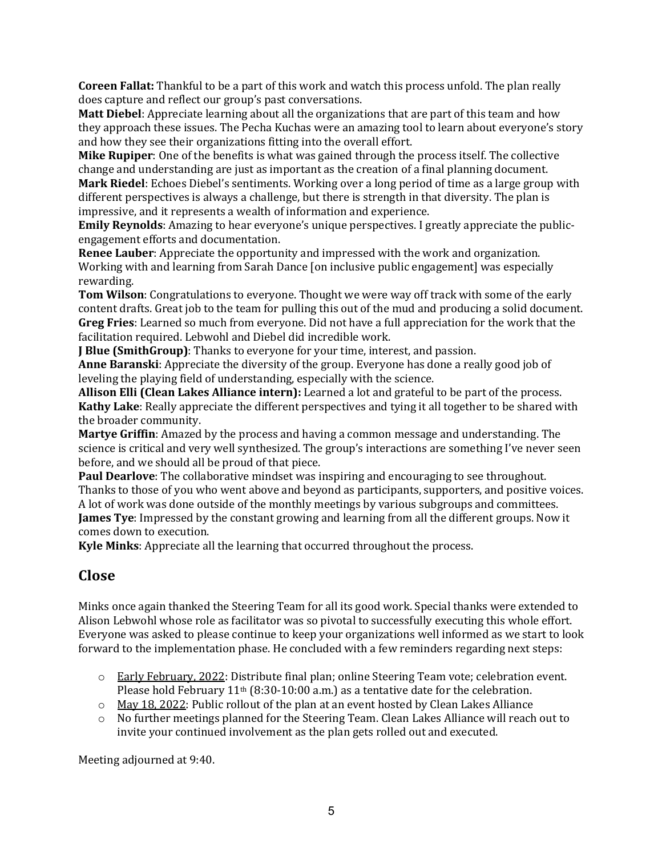**Coreen Fallat:** Thankful to be a part of this work and watch this process unfold. The plan really does capture and reflect our group's past conversations.

**Matt Diebel**: Appreciate learning about all the organizations that are part of this team and how they approach these issues. The Pecha Kuchas were an amazing tool to learn about everyone's story and how they see their organizations fitting into the overall effort.

**Mike Rupiper**: One of the benefits is what was gained through the process itself. The collective change and understanding are just as important as the creation of a final planning document.

**Mark Riedel**: Echoes Diebel's sentiments. Working over a long period of time as a large group with different perspectives is always a challenge, but there is strength in that diversity. The plan is impressive, and it represents a wealth of information and experience.

**Emily Reynolds**: Amazing to hear everyone's unique perspectives. I greatly appreciate the publicengagement efforts and documentation.

**Renee Lauber:** Appreciate the opportunity and impressed with the work and organization. Working with and learning from Sarah Dance [on inclusive public engagement] was especially rewarding.

**Tom Wilson**: Congratulations to everyone. Thought we were way off track with some of the early content drafts. Great job to the team for pulling this out of the mud and producing a solid document. **Greg Fries**: Learned so much from everyone. Did not have a full appreciation for the work that the facilitation required. Lebwohl and Diebel did incredible work.

**J Blue (SmithGroup)**: Thanks to everyone for your time, interest, and passion.

**Anne Baranski**: Appreciate the diversity of the group. Everyone has done a really good job of leveling the playing field of understanding, especially with the science.

Allison Elli (Clean Lakes Alliance intern): Learned a lot and grateful to be part of the process. **Kathy Lake:** Really appreciate the different perspectives and tying it all together to be shared with the broader community.

**Martye Griffin**: Amazed by the process and having a common message and understanding. The science is critical and very well synthesized. The group's interactions are something I've never seen before, and we should all be proud of that piece.

**Paul Dearlove**: The collaborative mindset was inspiring and encouraging to see throughout. Thanks to those of you who went above and beyond as participants, supporters, and positive voices. A lot of work was done outside of the monthly meetings by various subgroups and committees. **James Tye**: Impressed by the constant growing and learning from all the different groups. Now it comes down to execution.

**Kyle Minks:** Appreciate all the learning that occurred throughout the process.

# **Close**

Minks once again thanked the Steering Team for all its good work. Special thanks were extended to Alison Lebwohl whose role as facilitator was so pivotal to successfully executing this whole effort. Everyone was asked to please continue to keep your organizations well informed as we start to look forward to the implementation phase. He concluded with a few reminders regarding next steps:

- $\circ$  Early February, 2022: Distribute final plan; online Steering Team vote; celebration event. Please hold February  $11<sup>th</sup>$  (8:30-10:00 a.m.) as a tentative date for the celebration.
- $\circ$  May 18, 2022: Public rollout of the plan at an event hosted by Clean Lakes Alliance
- $\circ$  No further meetings planned for the Steering Team. Clean Lakes Alliance will reach out to invite your continued involvement as the plan gets rolled out and executed.

Meeting adjourned at 9:40.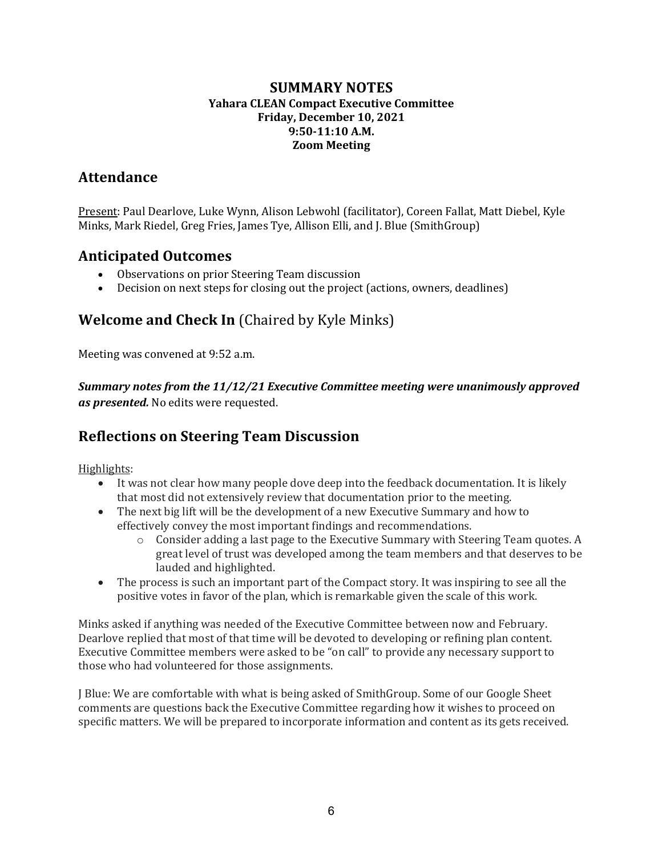### **SUMMARY NOTES Yahara CLEAN Compact Executive Committee Friday, December 10, 2021 9:50-11:10 A.M. Zoom Meeting**

## **Attendance**

Present: Paul Dearlove, Luke Wynn, Alison Lebwohl (facilitator), Coreen Fallat, Matt Diebel, Kyle Minks, Mark Riedel, Greg Fries, James Tye, Allison Elli, and J. Blue (SmithGroup)

### **Anticipated Outcomes**

- Observations on prior Steering Team discussion
- Decision on next steps for closing out the project (actions, owners, deadlines)

# **Welcome and Check In** (Chaired by Kyle Minks)

Meeting was convened at 9:52 a.m.

*Summary notes from the 11/12/21 Executive Committee meeting were unanimously approved* as *presented*. No edits were requested.

# **Reflections on Steering Team Discussion**

Highlights:

- It was not clear how many people dove deep into the feedback documentation. It is likely that most did not extensively review that documentation prior to the meeting.
- The next big lift will be the development of a new Executive Summary and how to effectively convey the most important findings and recommendations.
	- $\circ$  Consider adding a last page to the Executive Summary with Steering Team quotes. A great level of trust was developed among the team members and that deserves to be lauded and highlighted.
- The process is such an important part of the Compact story. It was inspiring to see all the positive votes in favor of the plan, which is remarkable given the scale of this work.

Minks asked if anything was needed of the Executive Committee between now and February. Dearlove replied that most of that time will be devoted to developing or refining plan content. Executive Committee members were asked to be "on call" to provide any necessary support to those who had volunteered for those assignments.

J Blue: We are comfortable with what is being asked of SmithGroup. Some of our Google Sheet comments are questions back the Executive Committee regarding how it wishes to proceed on specific matters. We will be prepared to incorporate information and content as its gets received.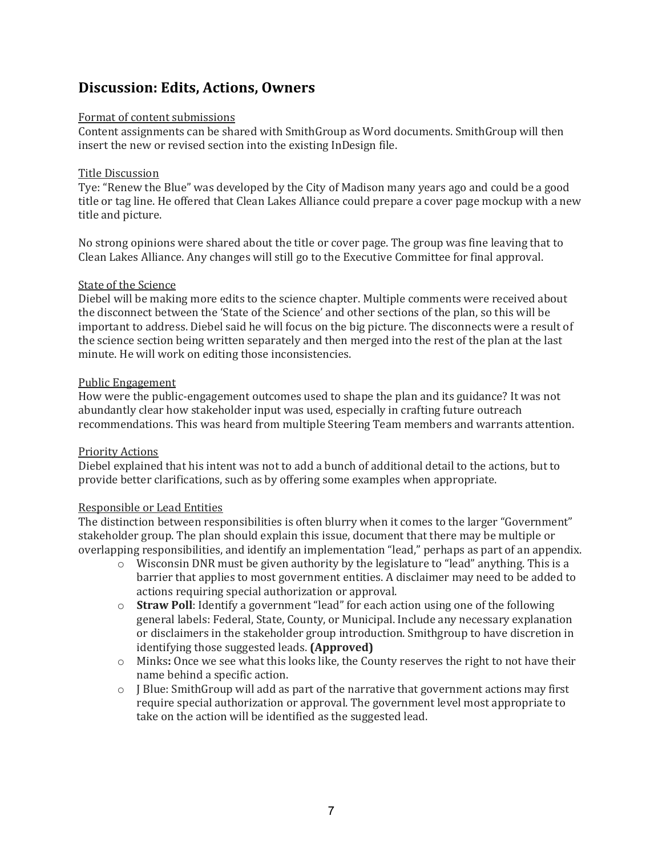### **Discussion: Edits, Actions, Owners**

#### Format of content submissions

Content assignments can be shared with SmithGroup as Word documents. SmithGroup will then insert the new or revised section into the existing InDesign file.

#### Title Discussion

Tye: "Renew the Blue" was developed by the City of Madison many years ago and could be a good title or tag line. He offered that Clean Lakes Alliance could prepare a cover page mockup with a new title and picture.

No strong opinions were shared about the title or cover page. The group was fine leaving that to Clean Lakes Alliance. Any changes will still go to the Executive Committee for final approval.

#### State of the Science

Diebel will be making more edits to the science chapter. Multiple comments were received about the disconnect between the 'State of the Science' and other sections of the plan, so this will be important to address. Diebel said he will focus on the big picture. The disconnects were a result of the science section being written separately and then merged into the rest of the plan at the last minute. He will work on editing those inconsistencies.

#### Public Engagement

How were the public-engagement outcomes used to shape the plan and its guidance? It was not abundantly clear how stakeholder input was used, especially in crafting future outreach recommendations. This was heard from multiple Steering Team members and warrants attention.

### Priority Actions

Diebel explained that his intent was not to add a bunch of additional detail to the actions, but to provide better clarifications, such as by offering some examples when appropriate.

#### Responsible or Lead Entities

The distinction between responsibilities is often blurry when it comes to the larger "Government" stakeholder group. The plan should explain this issue, document that there may be multiple or overlapping responsibilities, and identify an implementation "lead," perhaps as part of an appendix.

- o Wisconsin DNR must be given authority by the legislature to "lead" anything. This is a barrier that applies to most government entities. A disclaimer may need to be added to actions requiring special authorization or approval.
- o **Straw Poll**: Identify a government "lead" for each action using one of the following general labels: Federal, State, County, or Municipal. Include any necessary explanation or disclaimers in the stakeholder group introduction. Smithgroup to have discretion in identifying those suggested leads. **(Approved)**
- o Minks: Once we see what this looks like, the County reserves the right to not have their name behind a specific action.
- $\circ$  J Blue: SmithGroup will add as part of the narrative that government actions may first require special authorization or approval. The government level most appropriate to take on the action will be identified as the suggested lead.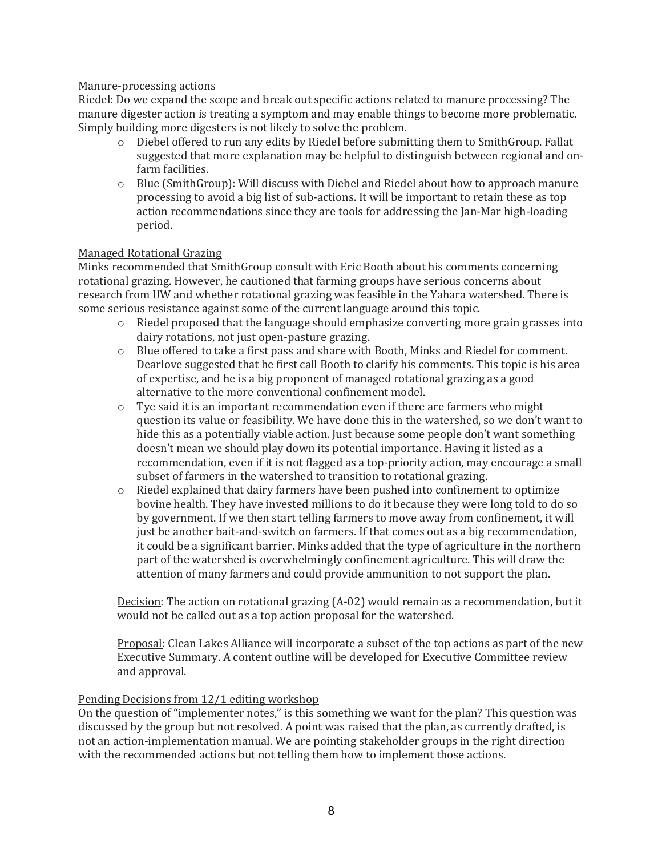#### Manure-processing actions

Riedel: Do we expand the scope and break out specific actions related to manure processing? The manure digester action is treating a symptom and may enable things to become more problematic. Simply building more digesters is not likely to solve the problem.

- $\circ$  Diebel offered to run any edits by Riedel before submitting them to SmithGroup. Fallat suggested that more explanation may be helpful to distinguish between regional and onfarm facilities.
- $\circ$  Blue (SmithGroup): Will discuss with Diebel and Riedel about how to approach manure processing to avoid a big list of sub-actions. It will be important to retain these as top action recommendations since they are tools for addressing the Jan-Mar high-loading period.

#### Managed Rotational Grazing

Minks recommended that SmithGroup consult with Eric Booth about his comments concerning rotational grazing. However, he cautioned that farming groups have serious concerns about research from UW and whether rotational grazing was feasible in the Yahara watershed. There is some serious resistance against some of the current language around this topic.

- $\circ$  Riedel proposed that the language should emphasize converting more grain grasses into dairy rotations, not just open-pasture grazing.
- o Blue offered to take a first pass and share with Booth, Minks and Riedel for comment. Dearlove suggested that he first call Booth to clarify his comments. This topic is his area of expertise, and he is a big proponent of managed rotational grazing as a good alternative to the more conventional confinement model.
- $\circ$  Tye said it is an important recommendation even if there are farmers who might question its value or feasibility. We have done this in the watershed, so we don't want to hide this as a potentially viable action. Just because some people don't want something doesn't mean we should play down its potential importance. Having it listed as a recommendation, even if it is not flagged as a top-priority action, may encourage a small subset of farmers in the watershed to transition to rotational grazing.
- $\circ$  Riedel explained that dairy farmers have been pushed into confinement to optimize bovine health. They have invested millions to do it because they were long told to do so by government. If we then start telling farmers to move away from confinement, it will just be another bait-and-switch on farmers. If that comes out as a big recommendation, it could be a significant barrier. Minks added that the type of agriculture in the northern part of the watershed is overwhelmingly confinement agriculture. This will draw the attention of many farmers and could provide ammunition to not support the plan.

Decision: The action on rotational grazing  $(A-02)$  would remain as a recommendation, but it would not be called out as a top action proposal for the watershed.

Proposal: Clean Lakes Alliance will incorporate a subset of the top actions as part of the new Executive Summary. A content outline will be developed for Executive Committee review and approval.

#### Pending Decisions from 12/1 editing workshop

On the question of "implementer notes," is this something we want for the plan? This question was discussed by the group but not resolved. A point was raised that the plan, as currently drafted, is not an action-implementation manual. We are pointing stakeholder groups in the right direction with the recommended actions but not telling them how to implement those actions.